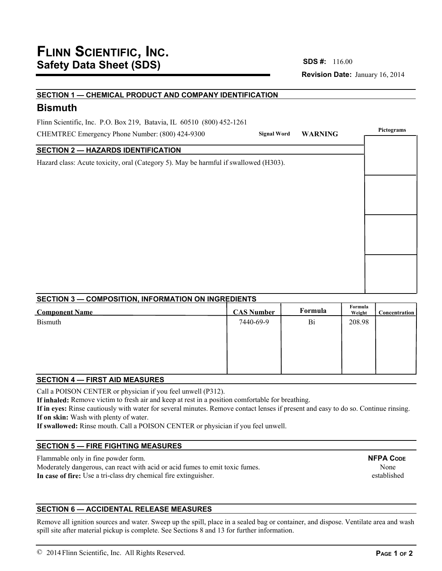**Revision Date:** January 16, 2014 **SDS #:**

## **SECTION 1 — CHEMICAL PRODUCT AND COMPANY IDENTIFICATION**

# **Bismuth**

Flinn Scientific, Inc. P.O. Box 219, Batavia, IL 60510 (800) 452-1261

CHEMTREC Emergency Phone Number: (800) 424-9300

# **SECTION 2 — HAZARDS IDENTIFICATION**

Hazard class: Acute toxicity, oral (Category 5). May be harmful if swallowed (H303).

|             | Signal Word WARNING | Pictograms |  |  |
|-------------|---------------------|------------|--|--|
|             |                     |            |  |  |
| $d(H303)$ . |                     |            |  |  |
|             |                     |            |  |  |
|             |                     |            |  |  |
|             |                     |            |  |  |
|             |                     |            |  |  |
|             |                     |            |  |  |
|             |                     |            |  |  |
|             |                     |            |  |  |
|             |                     |            |  |  |
|             |                     |            |  |  |
|             |                     |            |  |  |

# **SECTION 3 — COMPOSITION, INFORMATION ON INGREDIENTS**

| <b>Component Name</b> | <b>CAS Number</b> | Formula | Formula<br>Weight | Concentration |
|-----------------------|-------------------|---------|-------------------|---------------|
| Bismuth               | 7440-69-9         | Bi      | 208.98            |               |
|                       |                   |         |                   |               |
|                       |                   |         |                   |               |
|                       |                   |         |                   |               |
|                       |                   |         |                   |               |

### **SECTION 4 — FIRST AID MEASURES**

Call a POISON CENTER or physician if you feel unwell (P312).

**If inhaled:** Remove victim to fresh air and keep at rest in a position comfortable for breathing.

**If in eyes:** Rinse cautiously with water for several minutes. Remove contact lenses if present and easy to do so. Continue rinsing. **If on skin:** Wash with plenty of water.

**If swallowed:** Rinse mouth. Call a POISON CENTER or physician if you feel unwell.

# **SECTION 5 — FIRE FIGHTING MEASURES**

Flammable only in fine powder form. Moderately dangerous, can react with acid or acid fumes to emit toxic fumes. **In case of fire:** Use a tri-class dry chemical fire extinguisher.

**NFPA CODE** None established

# **SECTION 6 — ACCIDENTAL RELEASE MEASURES**

Remove all ignition sources and water. Sweep up the spill, place in a sealed bag or container, and dispose. Ventilate area and wash spill site after material pickup is complete. See Sections 8 and 13 for further information.